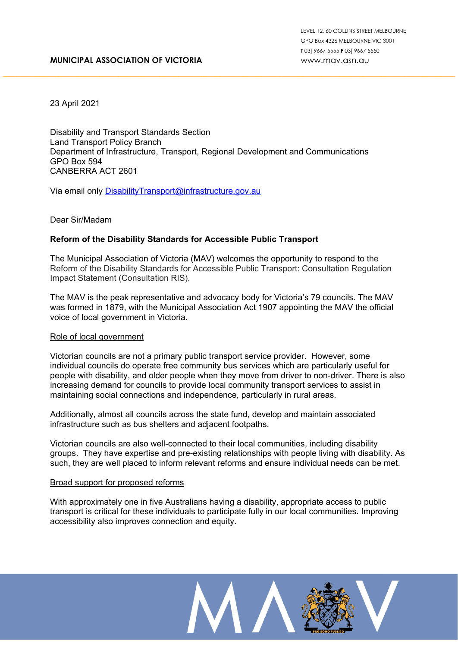# **MUNICIPAL ASSOCIATION OF VICTORIA**

23 April 2021

Disability and Transport Standards Section Land Transport Policy Branch Department of Infrastructure, Transport, Regional Development and Communications GPO Box 594 CANBERRA ACT 2601

Via email only [DisabilityTransport@infrastructure.gov.au](mailto:DisabilityTransport@infrastructure.gov.au)

# Dear Sir/Madam

# **Reform of the Disability Standards for Accessible Public Transport**

The Municipal Association of Victoria (MAV) welcomes the opportunity to respond to the Reform of the Disability Standards for Accessible Public Transport: Consultation Regulation Impact Statement (Consultation RIS).

The MAV is the peak representative and advocacy body for Victoria's 79 councils. The MAV was formed in 1879, with the Municipal Association Act 1907 appointing the MAV the official voice of local government in Victoria.

## Role of local government

Victorian councils are not a primary public transport service provider. However, some individual councils do operate free community bus services which are particularly useful for people with disability, and older people when they move from driver to non-driver. There is also increasing demand for councils to provide local community transport services to assist in maintaining social connections and independence, particularly in rural areas.

Additionally, almost all councils across the state fund, develop and maintain associated infrastructure such as bus shelters and adjacent footpaths.

Victorian councils are also well-connected to their local communities, including disability groups. They have expertise and pre-existing relationships with people living with disability. As such, they are well placed to inform relevant reforms and ensure individual needs can be met.

## Broad support for proposed reforms

With approximately one in five Australians having a disability, appropriate access to public transport is critical for these individuals to participate fully in our local communities. Improving accessibility also improves connection and equity.

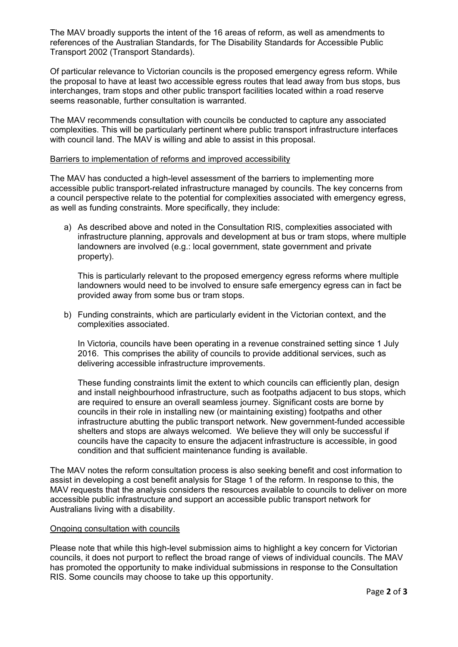The MAV broadly supports the intent of the 16 areas of reform, as well as amendments to references of the Australian Standards, for The Disability Standards for Accessible Public Transport 2002 (Transport Standards).

Of particular relevance to Victorian councils is the proposed emergency egress reform. While the proposal to have at least two accessible egress routes that lead away from bus stops, bus interchanges, tram stops and other public transport facilities located within a road reserve seems reasonable, further consultation is warranted.

The MAV recommends consultation with councils be conducted to capture any associated complexities. This will be particularly pertinent where public transport infrastructure interfaces with council land. The MAV is willing and able to assist in this proposal.

## Barriers to implementation of reforms and improved accessibility

The MAV has conducted a high-level assessment of the barriers to implementing more accessible public transport-related infrastructure managed by councils. The key concerns from a council perspective relate to the potential for complexities associated with emergency egress, as well as funding constraints. More specifically, they include:

a) As described above and noted in the Consultation RIS, complexities associated with infrastructure planning, approvals and development at bus or tram stops, where multiple landowners are involved (e.g.: local government, state government and private property).

This is particularly relevant to the proposed emergency egress reforms where multiple landowners would need to be involved to ensure safe emergency egress can in fact be provided away from some bus or tram stops.

b) Funding constraints, which are particularly evident in the Victorian context, and the complexities associated.

In Victoria, councils have been operating in a revenue constrained setting since 1 July 2016. This comprises the ability of councils to provide additional services, such as delivering accessible infrastructure improvements.

These funding constraints limit the extent to which councils can efficiently plan, design and install neighbourhood infrastructure, such as footpaths adjacent to bus stops, which are required to ensure an overall seamless journey. Significant costs are borne by councils in their role in installing new (or maintaining existing) footpaths and other infrastructure abutting the public transport network. New government-funded accessible shelters and stops are always welcomed. We believe they will only be successful if councils have the capacity to ensure the adjacent infrastructure is accessible, in good condition and that sufficient maintenance funding is available.

The MAV notes the reform consultation process is also seeking benefit and cost information to assist in developing a cost benefit analysis for Stage 1 of the reform. In response to this, the MAV requests that the analysis considers the resources available to councils to deliver on more accessible public infrastructure and support an accessible public transport network for Australians living with a disability.

## Ongoing consultation with councils

Please note that while this high-level submission aims to highlight a key concern for Victorian councils, it does not purport to reflect the broad range of views of individual councils. The MAV has promoted the opportunity to make individual submissions in response to the Consultation RIS. Some councils may choose to take up this opportunity.